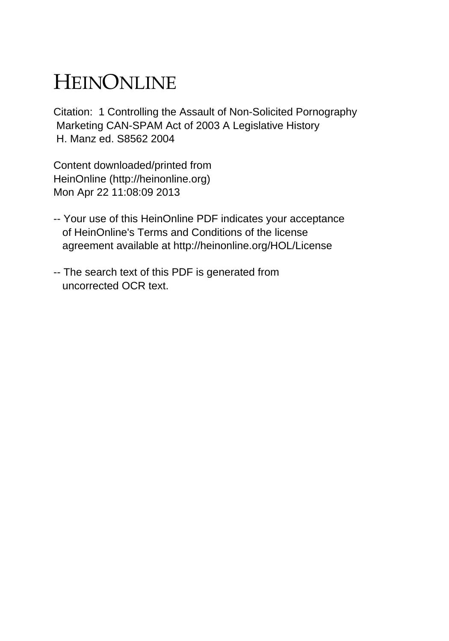# HEINONLINE

Citation: 1 Controlling the Assault of Non-Solicited Pornography Marketing CAN-SPAM Act of 2003 A Legislative History H. Manz ed. S8562 2004

Content downloaded/printed from HeinOnline (http://heinonline.org) Mon Apr 22 11:08:09 2013

- -- Your use of this HeinOnline PDF indicates your acceptance of HeinOnline's Terms and Conditions of the license agreement available at http://heinonline.org/HOL/License
- -- The search text of this PDF is generated from uncorrected OCR text.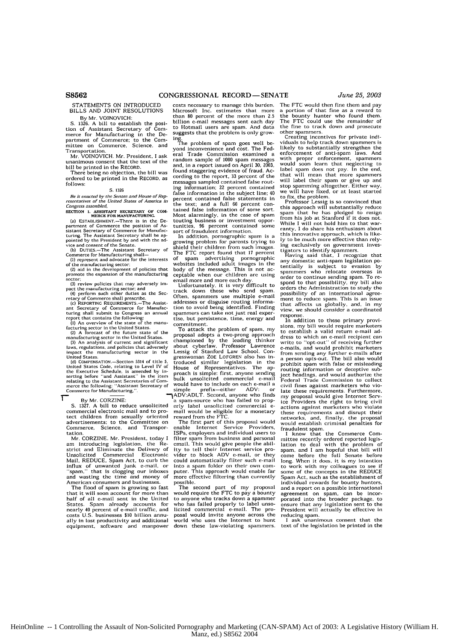BILLS AND JOINT RESOLUTIONS

merce for Manufacturing in the De- suggests that the problem is only growpartment of Commerce; to the Com-<br>mittee on Commerce, Science, and

Mr. VOINUVICH. Mr. President, 1 ask can consent that the random sample of 1000 spam messages<br>unanimous consent that the text of the random sample of 1000 spam messages<br>hill be printed in the RECORD.

There being no objection, the bill was ordered to be printed in the RECORD. as

expression of Commerce the position of As-<br>tunities, 96 percent contrained some<br>turing. The Assistant Secretary shall be ap-<br>turing. The Assistant Secretary shall be ap-<br>turing. The Assistant Secretary shall be ap-<br>turing.

manufacturing sector in the United States.<br>(3) An analysis of current and significant championed by the leading thinker<br>laws, regulations, and policies that adversely about cyberlaw, Professor Lawrence

the executive Schedule, is antended by the proach is simple: first, anyone sending<br>relating to the Assistant Secretaries of Com-<br>relating to the Assistant Secretaries of Com-<br>merce the following: "Assistant Secretary of Wo

т

commercial electronic mail and to pro-<br>tect children from sexually oriented advertisements; to the Committee on The first part of this proposal would<br>Commerce, Science, and Transpor- enable Internet Service Providers,

am introducing legislation, the Re- email. This would give people the abil-strict and Eliminate the Delivery of ity to tell their Internet service pro-Mail, REDUCE, Spam Act, to curb the conducted Commercial Electronic Mail, REDUCE, Spam Act, to curb the "span," that Is clogging our inboxes puter. This approach would enable far and wasting the time and money of more effective filtering than currently

American consumers and businesses. possible.<br>The flood of spam is growing so fast The s The flood of spam is growing so fast The second part of my proposal<br>that it will soon account for more than would require the FTC to pay a bounty that it will soon account for more than would require the FTC to pay a bounty<br>half of all e-mail sent in the United to anyone who tracks down a spammer<br>States. Spam already accounts for who has failed properly to label uns States. Spaint arready accounts of<br>nearly 40 percent of e-mail traffic, and<br>costs U.S. businesses \$10 billion annually in lost productivity and additional world who uses the Internet to hunt equipment, software and manpower down these law-violating spammers.

STATEMENTS ON INTRODUCED costs necessary to manage this burden.<br>BILLS AND JOINT RESOLUTIONS Microsoft Inc. estimates that more **By Mr. VOINT RESOLUTIONS** were<br>**By Mr. VOINOVICH:** than 80 percent of the more than 2.5<br>1326. A bill to establish the nosi-<br>billion c-mail messages sent each day S. 1326. A bill to establish the posi-<br>tion of Assistant Secretary of Com-<br>to Hotmail users are spam. And data results are spame. And data results are spame.

ing.<br>The problem of spam goes well be-<br>yond inconvenience and cost. The Fed-Transportation.<br>Transportation. We all Trade Commission examined a<br>Mr. VOINOVICH. Mr. President, I ask erad Trade Commission examined as found staggering evidence of fraud. Acordered to be printed in the RECORD, as cording to the report, 33 percent of the report, and the RECORD, as messages sampled contained false rout-<br>follows: **S. 1326**<br>**S. 1326**<br>**S. 1326**<br>**information** in the subject line; 40 Be it enacted by the Senate and House of Rep. False information in the subject line; 40<br>resontatives of the United States of America in the text; and a full 66 percent con-<br>Congress assembled, **SECTION 1. ASSISTANT SECRETARY or** COm. tained false information of some sort. the text; and a full 66 percent contained false information of some sort.<br>Most alarmingly, in the case of span<br>touting business or investment oppor-(a) ESTABLISHMENT.-There is in the **De-** touting business or investment oppor-

(b) DUTIES.—The Assistant Secretary of Shield their children from such that 17 percent (commerce for Manufacturing shall —<br>Commerce for Manufacturing shall —<br>(i) represent and advocate for the interests of spam advertising Commerce for Manufacturing shall—<br>
(1) represent and advocate for the interests of spam advertising pornographic<br>
(2) aid in the development of policies that body of the message. This is not ac-<br>
(2) aid in the developmen

sector;<br>
(3) review policies that may adversely im<br>
(3) the understanding sector: and<br>
(4) perform such other duties as the Sec.<br>
(4) perform such other duties as the Sec.<br>
(4) perform such other duties as the Sec.<br>
(5) th From Schon Communiculation Communiculation of the Section of Communiculation CREQUIREMENTS. The Assist-<br>and Secretary of Commerce for Manufac- tion to avoid being identified. Finding<br>turing shall submit to Congress an annu

(1) An overview of the state of the manu-<br>facturing sector in the United States.<br>(2) A forecast of the future state of the To attack the problem of spam, my<br>manufacturing sector in the United States.<br>manufacturing sector i laws, regularions, and policies that adversely about cyberlaw, Professor Lawrence in<br>linear the manufacturing sector in the Lessig of Stanford Law School. Con-<br>United States. ( $\frac{1}{2}$ ,  $\frac{1}{2}$ ,  $\frac{1}{2}$ ,  $\frac{1}{2}$ ,  $\$  $(3)$  COMPENSATION.—Section 5314 of title 5, creduced similar legislation in the United States Code, relating to Level IV of House of Representatives. The approximate the chemical state of Representatives. The space of th

simple prefix—either ADV: or<br>ADV:ADLT. Second, anyone who finds<br>a spam-source who has failed to prop-By Mr. CORZINE:<br>
S. 1327. A bill to reduce unsolicited erly label unsolicited commercial electronic mail and to pro-<br> **S. 1327. A bill to reduce unsolicited commercial electronic mail and to pro-** mail would be eligible fo

Commerce, Science, and Transpor- enable Internet Service Providers, tation. ISPs, employers and individual users to tation.<br>Mr. CORZINE. Mr. President, today I filter spam from business and personal<br>am introducing legislation. the Restigmall This would give people the abil-Instance I also their Internet service provider to block ADV e-mail, or they could automatically filter such e-mail Final automatically three such e-mail<br>puter. This approach would enable far<br>more effective filtering than currently

> who has failed properly to label unsolicited commercial e-mail. The pro-<br>posal would invite anyone across the<br>world who uses the Internet to hunt

The FTC would then fine them and pay a portion of that fine as a reward to the bounty hunter who found them. The FTC could use the remainder of the fine to track down and prosecute<br>other spammers.

other spammers. Creating incentives for private individuals to help track down spanmers is likely to substantially strengthen the enforcement of anti-spam laws. And<br>with proper enforcement, spammers<br>would soon learn that neglecting to<br>label spam does not pay. In the end,<br>that will mean that more spammers<br>will label their spam or give up and<br>stop spam

to fix, the problem. Professor Lessig is so convinced that this approach will substantially reduce spam that he has pledged to resign from his job at Stanford if it does not. While I will not hold him to that war- ranty, I do share his enthusiasm about this innovative approach, which is likely to be much more effective than relying exclusively on government inves-tigators to identify spammers. Having said that, I recognize that any domestic anti-spain legislation **po-**

tentially is subject to evasion by spanmers who relocate overseas in order to continue sending span. To respond to that possibility, my bill also orders the Administration to study the possibility of an international agreement to reduce spam. This is an issue<br>that affects us globally, and, in my<br>view, we should consider a coordinated response, In addition to these primary provi-

sions, my bill would require marketers to establish a valid return e-mail address to which an e-mail recipient can write to "opt-out" of receiving further write to upt-out of receiving or sum-<br>e-mails, and would prohibit marketers from sending any further e-mails after a person opts-out. The bill also would prohibit span with false or misleading routing information or deceptive subject headings, and would authorize the Federal Trade Commission to collect civil fines against marketers who vio- late these requirements. Furthermore, my proposal would give Internet Serv-ice Providers the right to bring civil actions against marketers who violate these requirements and disrupt their networks, and, finally, the proposal would establish criminal penalties for

fraudulent spam.<br>I know that the Commerce Committee recently ordered reported legis-<br>lation to deal with the problem of<br>spam. and I am hopeful that bill will<br>come before the full Senate before long. When it does. it is my intention to work with my colleagues to see if some of the concepts in the REDUCE Spain Act, such as the establishment of individual rewards for bounty hunters, and a report on a possible international agreement on span, can be incorporated into the broader package, to ensure that any legislation sent to the President will actually be effective in

I ask unanimous consent that the text of the legislation be printed in the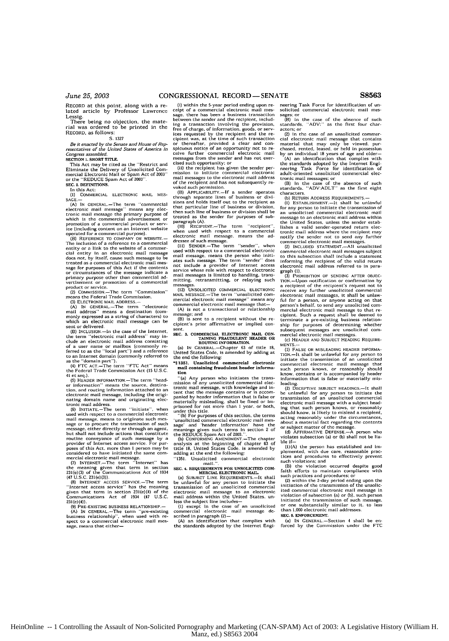RECORD at this point, along with a re-lated article by Professor Lawrence Lessig

essig.<br>There being no objection, the material was ordered to be printed in the RECORD, as follows: **S.** 1327

Be it *enacted* by *the Senate and* House *of* Rep*resentatires of the United* States **of** America in Congress *assembled,* SECTION **I.** SHORT **ITLE.**

This Act may be cited as the "Restrict and Eliminate the Delivery of Unsolicited Com-otercial Electronic Mail or Spae Act of **2003"** or the "REDUCE Spam Act of 2003" **SEC. 2. DEFINITIONS.**

**In this Act:**<br>
(1) COMMERCIAL ELECTRONIC MAIL MES-<br>SAGE.-

**(A) IN** GENERAL.-The term 'commercial electronic mail message" means any electronic mail message the primary purpose of<br>tronic mail message the primary purpose of<br>which is the commercial advertisement or promotion of a commercial product or serv ice Cincluding **content o** an Internet website operated for a commercial purpose).

**(B)** REFERENCE TO COMPANY OR WEBSITE. The inclusion of a reference to a commercial entity or a link to the website of a commerclal entity In an electronic mail message does not, by itself, cause such message **to** be treated as a commercial electronic mail message for purposes of this Act if the contents or circumstances **of** the message indicate a primary purpose other than commercial ad-vertisement or promotion **of** a commerial

product or service. (Z) CoMMISSION.-The term "Commission" means the Federal Trade Commission. **(3)** ELFCTRONIC MAIL **ADDRESS.-**

**iA) IN** GENERAL.-The term "electronic mall address" means a destination (com-monly expressed as a string of characters) to

which an electronic mail message can be sent or delivered.<br>
(B) INCLUSION —In the case of the Internet.<br>
the term "electronic mail address" may in-

clude an electronic mail address consisting of a user name or mailbox (commonly **re-**ferred to as the "local part") and a reference to an Internet domain (commonly referred **to** as the 'domain part"). (4) FTC ACT.-The term **"FTC** Act" means

the **Federal** Trade Commission **Act (15 U.SC. 41** et **seq.). (5)** HEADER INFORMATION.-The term 'head-

**er** information" means the source. destina-tion, and routing information attached to an electronic mail message, including the origi-<br>nating domain name and originating electronic mail address.

**€6)** INiT1ATE.-The term "initiate", when used with respect to a commercial electronic mail message, means to originate such mes-sage **or** to pmcure the transmission of such message, either directly or through an agent. but shall not include actions that ConstItute rutine conveyance of such message **by** <sup>a</sup> provider of Internet access service. For purposes of this Act, more than 1 person may be considered to have initiated the same com-<br>mercial electronic mail message.<br>(1) INTERNET.—The term "Internet" has

the meaning given that term in section 231(e)(3) of the Communications Act of 1934 231(e)(3) of the Cor

**(8) INTERNET ACCESS** SERVICE.-The term "Internet access service" has the meaning given that term in section 231(e)(4) of **the** Communications Act of 1934 (47 U.S.C. 231(e)(4)).

**(9)** PRE-EXISTING **BUSINESS** RELATIONSHIP- (A) IN CENERAL.-The term "pre-existing<br>business relationship", when used with re-<br>spect to a commercial electronic mail mes-<br>sage. means that either-

(I) within the 5-year period ending upon receipt **of** a commercial electronic mail message, there has been a business transaction between the sender and the recipient. includ-ing a transaction Involving the provision, free of charge, of information, goods. or services requested by the recipient and the re-<br>cipient was, at the time of such transaction<br>or thereafter, provided a clear and con-<br>spicuous notice of an opportunity not to re-<br>ceive further commercial electronic mail<br>messag cised such opportunity: or

(if) the recipient has given the sender per-mission to initiate commercial electronic mail messages to tise electronic mail address of the recipient and has not subsequently revoked such permission. (B) APPLICAEILITY.-If a sender operates

through separate lines of business or dlvi-sions and holds Itself out to the recipient as that particular line of business or division. then such line of business or division shall be treated as the sender **for** purposes of subparagraph (A).<br>(10) RECIPIE

(10) RECIPIENT.-The term "recipient'' when used with respect to a commercial electronic mail message. means the ad-

dressee of such message. **(11)** SENDER.-The term ''sender". when used with respect to a commercial electronic mail message, means the person who initi-ates such message. The term 'sender'' does not include a provider of Internet access service whose role with respect **to** electronic mail messages **Is** limited to handling, trans-mitting, retransmitting, or relaying such messages. (12) **UNSOLICITED** COMMERCIAL **ELECTRONIC**

MAIL MESSAGE.-The term "unsolicited com-mercial electronic oail Inessage" means any commercial electronic mail message that- (A) is not a transactional or relationship

message; and (B) is sent to a recipient without the recipient's prior affirmative or implied con-

sent. **SEC. S.** COMMERCIAL **ELECTRONIC MAIL CON-TAINING FRAUDULENT HEADER** OR ROUTING INFORMATION.

(a) IN GENERAL.-Chapter **63** of title **18,** United States **Code,** is amended by adding at the end the following: **"§ 1351. Unsolicited commercial** electronic

mail containing fraudulent header **tion**

"(a) Any person who initiates the trans-mission of any unsolicited commercial elec- tronic mail message, with knowledge and intent that the message contains or is accompanied by header information that is false or materially misleading, shall **be** fined or **i-**prisoned for not more than **I** year. or both. under this title.

"(b) For purposes of this section, the terms<br>"unsolicited commercial electronic mail mes-<br>sage" and "header information" have the<br>meanings given such terms in section 2 of<br>the REDUCE Spam Act of 2003."<br>"(b) CONFORMING AMEN

analysis at the beginning of chapter **63** of title **18.** United States Code. is amended by adding at the end the following'

"1351. Unsolicited cormmercial electronic mail.". **SEC. 4. REQUIREENTS** FOR **UNSOLICITED COM-** MERCLIL ELECTRONIC MAIL. (a) **SUBJECT LINE** REQUIREMENTS.-It shall

be unlawful for any person to initiate the transmission of an unsolicited commercial electronic mail message to an electronic mail address within the United States, un-

the subject line includes—<br>less the subject line includes—<br>commercial electronic mail message de-<br>scribed in paragraph (2)—<br>(A) an identification that complies with<br>the standards adopted by the Internet Emai-

neering Task Force for identification of unsolicited commercial electronic mail mes-

**sages; or** (B) in the case of the absence of such standards, **ADV:'** as the first four char-actors: or

(2) In the case of an unsolicited commercial electronic mail message that contains material that may only be viewed, purchased, rented, may only be viewed, pur-<br>chased, rented, leased, or held in possession

by an individual 18 years of age and older- (A) an identification that complies with the standards adopted by the Internet Engi-neering Task Force for identification of adult-orieiited unsolicited commercial elec-

tronic mail messages; or<br>(B) in the case of the absence of such<br>standards. "ADV:ADLT" as the first eight characters.<br>(b) RETURN ADDRESS REQUIREMENTS.—

**(1)** ESTABLISMENT.-It shall be unlawful for any person to initiate the transmission of an unsolicited commercial electronic mail message to an electronic mail address within the United States, unless the sender estab lishes a valid sender operated returt electronic mail address where the recipient **may** notify the sender not to send any further<br>commercial electronic mail messages.

(2) INCLUDED STATEMENT.-All unsolicited (b) included above and messages subject<br>commercial electronic mail messages subject<br>to this subsection shall include a statement to this subsection shall include a statement informing the recipient of the valid return electronic mail address referred to in para-<br>graph (1).

graph (1). **(3)** PROHIBITION **OF SENDING** AFTER **OBJEC-**TION.-Upon notification or confirmation by a recipient of the recipient's request not to receive any further unsolicited commercial existed commercial<br>receive any further unsolicited commercial<br>electronic mail messages, it shall be unlawful for a person, or anyone acting on that person's behalf, to send any unsolicited com-mercial electronic mail message to that re-cipient. Such a request shall be deemed to terminate a pre-existing business relation-ship for purposes of determining whether subsequent messages are unsolicited com-mercial electronic mail messages,

**(L)** HEADER **AND SUBJECT HEADING REQUIRE- MENTS.-**

**(1) FALSE** OR MISLEADING HEADER INFORMA-TION.-It **shall** be unlawful for any person to initiate the transmission of an unsolicited commercial electronic mail message that such person knows, or reasonably should know, contains or is accompanied by header information that is false or materially misleading.<br>(2) DECEPTIVE SUBJECT HEADINGS.—It shall

he unlawful for any person to initiate the transmission of an unsolicited commercial electronic mail message with a subject headencuentime transformation of the state and the state and the state and the state and the state and the state and the state and the and the and the and the state and the state and the state and the state and value of the me

ble **if-**

 $(1)(A)$  the person has established and implemented, with due care, reasonable practioes and procedures to effectively prevent

such violations; and<br>
(B) the violation occurred despite good<br>
(Bith efforts to maintain compliance with<br>
such practices and procedures; or<br>
(2) within the 2-day period ending upon the<br>
initiation of the transmission of th

ited commercial electronic mail message in violation of subsection (a) or **(b),** such person initiated the transmission of such message. or one substantially similar to it, to less than **1,000** electronic mail addresses. **SEC. 5. ENFORCEMENT.**

(a) **IN** GENERAL-Section 4 shall be enforced by the Commission under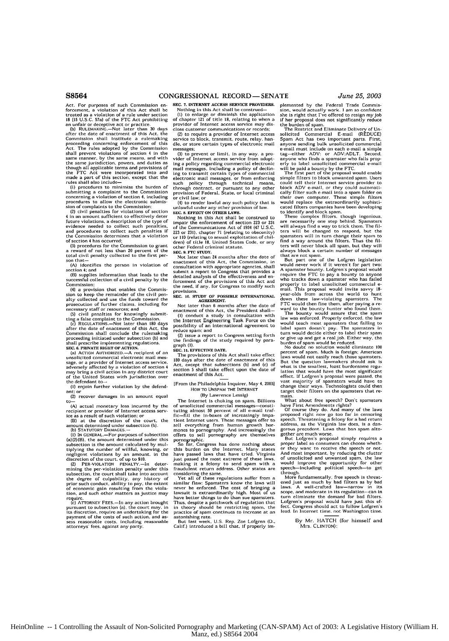Act. *For* purposes of such Commission enforcement, a violation of this Act shall **be** treated as a violation of a rule under section **18 (15 U.S.C. 57a)** of the **FTC** Act prohibiting

an unfair or deceptive act or practice. **(b)** RULEMAKING.-Not later than 30 days after the date of enactment **of** this Act, the Commission shall Institute a rulemaking procceding concerning enforcement of this Act. The rules adopted by the Commission shall prevent violations of section 4 in the same manner, by the same means, and with<br>the same jurisdiction, powers, and duties as<br>though all applicable terms and provisions of<br>the FTC Act were incorporated into and<br>made a part of this section, except that the<br>rules

(I) procedures to minimie the burden of sohmitting a complaint to the Commission concerning a violation of section 4, including procedures **to** allow the electronic submis-sion of complaints to the Commission:

(2) civil penalties for violations of section 4 in an amount sufficient to effectively deter future violations, a description of the **type** of evidence needed to collect such penalties. and procedures to collect such penalties if the Commission determines that a violation of section 4 has occurred:

**(3)** procedures for the Commission to grant a reward of not loss than 20 percent of the total civil penalty collected to **the** first per-

son that **(A)** identifies the person in violation of section 4; **and**

(B) supplies information that leads to the successful collection of a civil penalty **by** the Commission;

(4) a provision that enables the Commis-sion to keep the remainder of the civil pen-alty collected and use the funds toward the prosecution of further claims, including for

necessary staff or resources; and<br>
(5) civil penalties for knowingly submit-<br>
ting a false complaint to the Commission.<br>
(c) REGULATIONS.—Not later than **180 days** 

after the date **of** enaetment of this Act, the Commission shall conclude **the** rulemaking proceeding initiated under subsection **(b)** and shall prescribe implementing regulations.

**SEC. 6. PRIVATE RIGHT OF ACTION.**<br>(a) ACTION AUTHORIZED.—A recipient of an<br>unsolicited commercial electronic mail mes sage, or a provider of Internet access sevice. adversely affected by a violation of section 4 may bring a civil action **In** any district court of the United States with Jurisdiction over the defendant to-

**(I)** enjoin further violation **by** the defendant; or

(2) recover damages in an amount equal to-

**(A)** actual monetary loss incurred by the recipient or provider of Internet access serv-ice as a result of such violation; or

(B) at the discretion of **the** court, the amount determined under subsection **(b). (b) STATUTORY** DAMAGS-

(I) IN GENERAL.—For purposes of subsection<br>(a)(2)(B), the amount determined under this

(a)(2)(B). the amount determined under this<br>subsection is the paramoton feature in the phylic proposition is the phying the number of willful, knowing, or<br>negligent violations by an amount. in the discretion of the court,

pursuant to subsection (a), tise court may. in **its** discretion, require an undertaking for the payment of the costs of such action, and **as-**sess reasonable costs\* including reasonable attorneys fees, against any party

**SEC. 7. INTERNET ACCESS** SERVICE PROVIDERS. Nothing in this Act **sholl** be construed-

**(I)** to enlarge or diminish the application of chapter 121 of title **18,** relating to when a provider of Internet access service may disclose customer communications or records

(2) to require a provider of Internet access service to block, transmit, route, relay, han die, or store certain types **of** electronic mail **Iessages;**

**(3)** to prevent or limit, in any way, a pro-vider of Internet access service from adopting a policy regarding commercial electronic mail messages. including a policy of declin-ing to transmit certain types of commercial electronic mail messages, or from enforcing<br>such policy through technical means. such policy through technical means, through contract, or pursuant to any other provision of Federal, State, or local criminal or civil law; or

(4) to render lawful any such policy that is unlawful under any other provision of law. **SEC. 8. EFFECT ON** OTHER LAWS.

Nothing In this **Act** shall be construed to impair the enforcement of section **223** or **231** of the Communications Act of 1934 **(47 U,S.C.** 223 or 231), chapter 71 (relating to obscenity)<br>or 110 (relating to sexual exploitation of chil-<br>dren) of title 18, United States Code, or any other Federal criminal statute.

**SEC. 9. FTC STUDY.** Not later than 24 months after the date of' enactment of this Act, the Commissin, a ronsultation with appropriate agencies, shall submit a report to Congress that provides a detailed analysis of the effectiveness and enforcement of the provisions of this Act and the need. **if** any, for Congress to modify such provisions.

**SEC. 10. STUDY** OF **POSSIBLE INTERNATIONAL** AGREEMENT.

Not later than **6** months after the date of enactment of this Act. the President shall

**(I)** conduct a study In consultation with the Internet Engineering Task Force on the possibility of an international agreement to

reduce spam; and<br>(2) issue a report to Congress setting forth<br>the findings of the study required by paragraph (I). **SEC. II. EFFECTIVE DATE.**

**The** provisions of this Act shall take effect **180** days after the date of enactment of this Act, except that subsections **(b)** and (c) of section 5 shall take effect upon the date of enactment of this Act.

[From the Philadelphia Inquirer. May 4, **20031** HOW TO UNSPAM **THE INTERNET**

### **(By** Lawrence Lessig)

The Internet is choking on spam. Billions<br>of unsolicited commercial messages—consti-<br>tuting almost 50 percent of all e-mail traf-<br>fic-fill the in-boxes of increasingly Impatient Internet users. These messages offer to sell everything from human growth hor-mones to pornography. And increasingly the offers to sell pornography *are* themselves

pornographic. So far, Congress has done nothing about this burden on the Internet. Many states So far, congress has done notining about<br>this burden on the Internet. Many states<br>have passed laws that have tried. Virginia just passed the most extreme of these lawn making it a felony to send span with a fraudulent return address. Other states are

considering the same. Yet all of these regulations suffer from a similar flaw: Spamrsters know the laws will never be enforced. The cost of bringing a lawsuit is extraordinarily high. Most of us have better things to do than sue spamsters, Thus, despite a patchwork of regulation that in theory should be restricting span. the practice of span continues to Increase at an

astonishing rate. But last week, **U.S.** Rep. Zoe Lnfgren **(D.,** Calif.) introduced a bill that, if properly im-

plemented by the Federal Trade Commis-.<br>sion, would actually work. I am so confident<br>she is right that I've offered to resign my job<br>if her proposal does not significantly reduce the burden of spam.<br>The Restrict and Eliminate Delivery of Un-

solicited Commercial E-mail (REDUCE) Spam Act has two Important parts. First, anyone sending bulk unsolicited commercial e-mail must include on each e-mail a simple tag-either **ADV:** or ADV:ADLT. Second, anyone who finds a spamster who fails properly to label unsolicited commercial e-mail

will be paid a bounty by the FTC.<br>The first part of the proposal would enable<br>simple filters to block unwanted spam. Users could tell their Internet service provider to<br>block ADV e-mail, or they could automatically filter such e-mail into a spam folder on<br>cheline own computer. These simple filters<br>would replace the extraordinarily sophisticate

will always find a way to trick them. The fil-ters will **be** changed to respond, but the spamnsters will in turn change their spain **to** find a way around the filters. Thus the **fit** ters will never block **all** spare, but they will ters will never block all spam, but they will<br>always block a certain number of messages that are not spam.

**But** part one **of** the Lofgren legislation would never work if it weren't for part two: A spamster bounty. Lofgren's proposal would require the FTC to pay a bounty to anyone who tracks down a spamster who has failed properly to label unsolicited commercial **e-**mail, This proposal would invite savvy **18** year-olds from across the world to hunt<br>down these law-violating spansters. The<br>FTC would then fine them after paying a re-<br>ward to the bounty hunter who found them.<br>The bounty would assure that the spam<br>law was enforced.

would teach most spansters that failing to<br>label spam doesn't pay. The spansters in<br>turn would decide either to label their spam or give up and get a real **job.** Either way, the burden of spare would be reduced. No doubt **no** solution would eliminate **100**

percent of spam. Much is foreign; American<br>laws would not easily reach those spamsters.<br>But the question lawmakers should ask is<br>what is the smallest, least burdensome regulation that would have the most significant<br>effect. If Lofgren's proposal were passed, the<br>vast majority of spamsters would have to<br>change their ways. Technologists could then<br>target their filters on the spamsters that re-

What about free speech? Don't sparmsters

nave First Amendments rights?<br>
Of course they do. And many of the laws<br>
proposed right now go too far in censoring<br>
speech. Threatening a felony for a bad return address, as the Virginia law does, is a dangerous precedent. Laws that ban spam altogether are much worse.<br>But Lofgren's proposal simply requires a

proper label so consumers can choose wheth**or** thcy want to **receive** the speech or not. And most important. by reducing the clutter of unsolicited and unwanted spam, the would improve the opportunity for other speech-including political speech-to get through More fundamentally, free speech is threat-

ened just as much by bad filters as by bad laws. **A** well-crafted law-narrow in its scope, and moderate in its regulation-can in turn eliminate the demand for bad filters. Lofgren's proposal would have just this ef-fect. Congress should act to follow Lofgren's lead. *In* Internet time. not Washington time.

By Mr. HATCH (for himself and Mis. CLINTON):